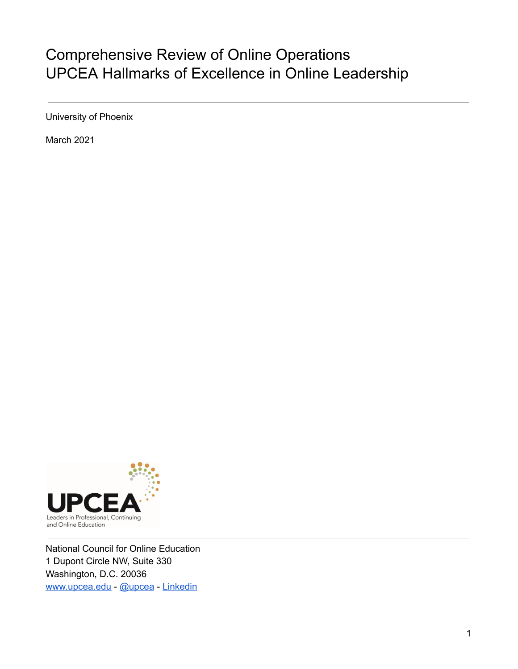# Comprehensive Review of Online Operations UPCEA Hallmarks of Excellence in Online Leadership

University of Phoenix

March 2021



National Council for Online Education 1 Dupont Circle NW, Suite 330 Washington, D.C. 20036 [www.upcea.edu](http://www.upcea.edu/) - [@upcea](https://twitter.com/upcea) - [Linkedin](https://www.linkedin.com/company/university-professional-and-continuing-education-association/)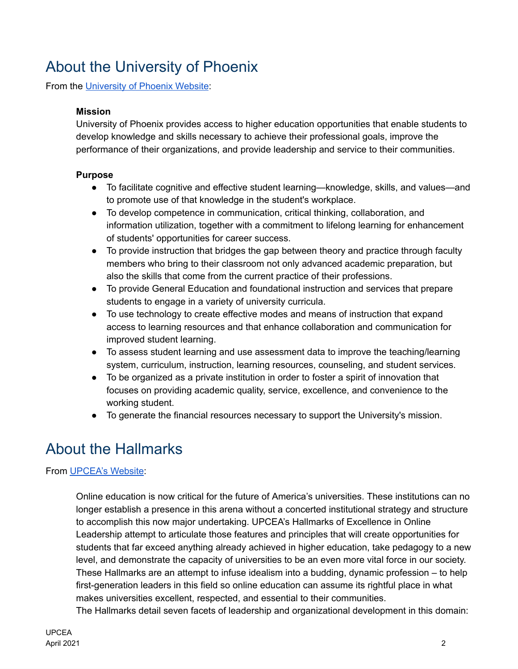# About the University of Phoenix

From the [University](https://www.phoenix.edu/about_us/about_university_of_phoenix/mission_and_purpose.html) of Phoenix Website:

### **Mission**

University of Phoenix provides access to higher education opportunities that enable students to develop knowledge and skills necessary to achieve their professional goals, improve the performance of their organizations, and provide leadership and service to their communities.

### **Purpose**

- To facilitate cognitive and effective student learning—knowledge, skills, and values—and to promote use of that knowledge in the student's workplace.
- To develop competence in communication, critical thinking, collaboration, and information utilization, together with a commitment to lifelong learning for enhancement of students' opportunities for career success.
- To provide instruction that bridges the gap between theory and practice through faculty members who bring to their classroom not only advanced academic preparation, but also the skills that come from the current practice of their professions.
- To provide General Education and foundational instruction and services that prepare students to engage in a variety of university curricula.
- To use technology to create effective modes and means of instruction that expand access to learning resources and that enhance collaboration and communication for improved student learning.
- To assess student learning and use assessment data to improve the teaching/learning system, curriculum, instruction, learning resources, counseling, and student services.
- To be organized as a private institution in order to foster a spirit of innovation that focuses on providing academic quality, service, excellence, and convenience to the working student.
- To generate the financial resources necessary to support the University's mission.

# About the Hallmarks

## From [UPCEA's](https://upcea.edu/resources/hallmarks-online/) Website:

Online education is now critical for the future of America's universities. These institutions can no longer establish a presence in this arena without a concerted institutional strategy and structure to accomplish this now major undertaking. UPCEA's Hallmarks of Excellence in Online Leadership attempt to articulate those features and principles that will create opportunities for students that far exceed anything already achieved in higher education, take pedagogy to a new level, and demonstrate the capacity of universities to be an even more vital force in our society. These Hallmarks are an attempt to infuse idealism into a budding, dynamic profession – to help first-generation leaders in this field so online education can assume its rightful place in what makes universities excellent, respected, and essential to their communities. The Hallmarks detail seven facets of leadership and organizational development in this domain:

UPCEA April 2021 2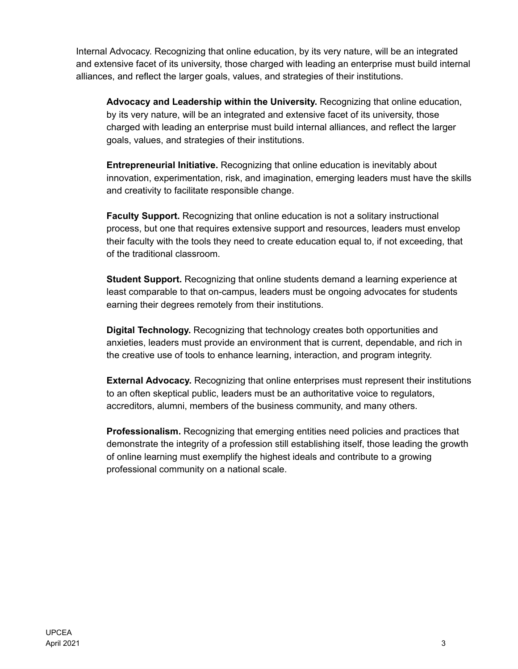Internal Advocacy. Recognizing that online education, by its very nature, will be an integrated and extensive facet of its university, those charged with leading an enterprise must build internal alliances, and reflect the larger goals, values, and strategies of their institutions.

**Advocacy and Leadership within the University.** Recognizing that online education, by its very nature, will be an integrated and extensive facet of its university, those charged with leading an enterprise must build internal alliances, and reflect the larger goals, values, and strategies of their institutions.

**Entrepreneurial Initiative.** Recognizing that online education is inevitably about innovation, experimentation, risk, and imagination, emerging leaders must have the skills and creativity to facilitate responsible change.

**Faculty Support.** Recognizing that online education is not a solitary instructional process, but one that requires extensive support and resources, leaders must envelop their faculty with the tools they need to create education equal to, if not exceeding, that of the traditional classroom.

**Student Support.** Recognizing that online students demand a learning experience at least comparable to that on-campus, leaders must be ongoing advocates for students earning their degrees remotely from their institutions.

**Digital Technology.** Recognizing that technology creates both opportunities and anxieties, leaders must provide an environment that is current, dependable, and rich in the creative use of tools to enhance learning, interaction, and program integrity.

**External Advocacy.** Recognizing that online enterprises must represent their institutions to an often skeptical public, leaders must be an authoritative voice to regulators, accreditors, alumni, members of the business community, and many others.

**Professionalism.** Recognizing that emerging entities need policies and practices that demonstrate the integrity of a profession still establishing itself, those leading the growth of online learning must exemplify the highest ideals and contribute to a growing professional community on a national scale.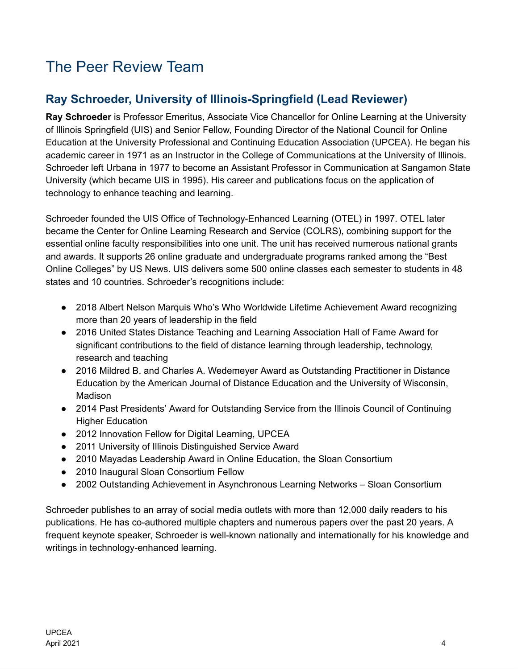# The Peer Review Team

# **Ray Schroeder, University of Illinois-Springfield (Lead Reviewer)**

**Ray Schroeder** is Professor Emeritus, Associate Vice Chancellor for Online Learning at the University of Illinois Springfield (UIS) and Senior Fellow, Founding Director of the National Council for Online Education at the University Professional and Continuing Education Association (UPCEA). He began his academic career in 1971 as an Instructor in the College of Communications at the University of Illinois. Schroeder left Urbana in 1977 to become an Assistant Professor in Communication at Sangamon State University (which became UIS in 1995). His career and publications focus on the application of technology to enhance teaching and learning.

Schroeder founded the UIS Office of Technology-Enhanced Learning (OTEL) in 1997. OTEL later became the Center for Online Learning Research and Service (COLRS), combining support for the essential online faculty responsibilities into one unit. The unit has received numerous national grants and awards. It supports 26 online graduate and undergraduate programs ranked among the "Best Online Colleges" by US News. UIS delivers some 500 online classes each semester to students in 48 states and 10 countries. Schroeder's recognitions include:

- 2018 Albert Nelson Marquis Who's Who Worldwide Lifetime Achievement Award recognizing more than 20 years of leadership in the field
- 2016 United States Distance Teaching and Learning Association Hall of Fame Award for significant contributions to the field of distance learning through leadership, technology, research and teaching
- 2016 Mildred B. and Charles A. Wedemeyer Award as Outstanding Practitioner in Distance Education by the American Journal of Distance Education and the University of Wisconsin, Madison
- 2014 Past Presidents' Award for Outstanding Service from the Illinois Council of Continuing Higher Education
- 2012 Innovation Fellow for Digital Learning, UPCEA
- 2011 University of Illinois Distinguished Service Award
- 2010 Mayadas Leadership Award in Online Education, the Sloan Consortium
- 2010 Inaugural Sloan Consortium Fellow
- 2002 Outstanding Achievement in Asynchronous Learning Networks Sloan Consortium

Schroeder publishes to an array of social media outlets with more than 12,000 daily readers to his publications. He has co-authored multiple chapters and numerous papers over the past 20 years. A frequent keynote speaker, Schroeder is well-known nationally and internationally for his knowledge and writings in technology-enhanced learning.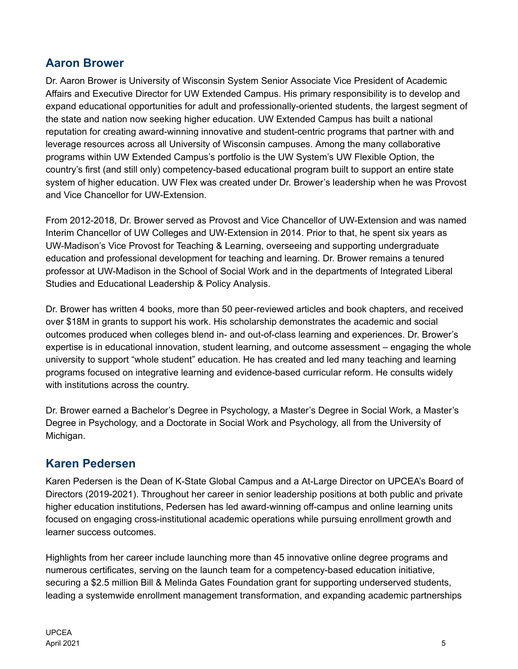# **Aaron Brower**

Dr. Aaron Brower is University of Wisconsin System Senior Associate Vice President of Academic Affairs and Executive Director for UW Extended Campus. His primary responsibility is to develop and expand educational opportunities for adult and professionally-oriented students, the largest segment of the state and nation now seeking higher education. UW Extended Campus has built a national reputation for creating award-winning innovative and student-centric programs that partner with and leverage resources across all University of Wisconsin campuses. Among the many collaborative programs within UW Extended Campus's portfolio is the UW System's UW Flexible Option, the country's first (and still only) competency-based educational program built to support an entire state system of higher education. UW Flex was created under Dr. Brower's leadership when he was Provost and Vice Chancellor for UW-Extension.

From 2012-2018, Dr. Brower served as Provost and Vice Chancellor of UW-Extension and was named Interim Chancellor of UW Colleges and UW-Extension in 2014. Prior to that, he spent six years as UW-Madison's Vice Provost for Teaching & Learning, overseeing and supporting undergraduate education and professional development for teaching and learning. Dr. Brower remains a tenured professor at UW-Madison in the School of Social Work and in the departments of Integrated Liberal Studies and Educational Leadership & Policy Analysis.

Dr. Brower has written 4 books, more than 50 peer-reviewed articles and book chapters, and received over \$18M in grants to support his work. His scholarship demonstrates the academic and social outcomes produced when colleges blend in- and out-of-class learning and experiences. Dr. Brower's expertise is in educational innovation, student learning, and outcome assessment – engaging the whole university to support "whole student" education. He has created and led many teaching and learning programs focused on integrative learning and evidence-based curricular reform. He consults widely with institutions across the country.

Dr. Brower earned a Bachelor's Degree in Psychology, a Master's Degree in Social Work, a Master's Degree in Psychology, and a Doctorate in Social Work and Psychology, all from the University of Michigan.

# **Karen Pedersen**

Karen Pedersen is the Dean of K-State Global Campus and a At-Large Director on UPCEA's Board of Directors (2019-2021). Throughout her career in senior leadership positions at both public and private higher education institutions, Pedersen has led award-winning off-campus and online learning units focused on engaging cross-institutional academic operations while pursuing enrollment growth and learner success outcomes.

Highlights from her career include launching more than 45 innovative online degree programs and numerous certificates, serving on the launch team for a competency-based education initiative, securing a \$2.5 million Bill & Melinda Gates Foundation grant for supporting underserved students, leading a systemwide enrollment management transformation, and expanding academic partnerships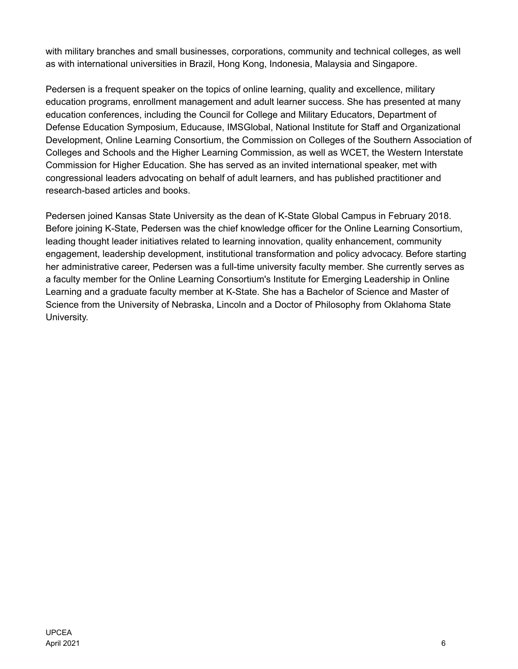with military branches and small businesses, corporations, community and technical colleges, as well as with international universities in Brazil, Hong Kong, Indonesia, Malaysia and Singapore.

Pedersen is a frequent speaker on the topics of online learning, quality and excellence, military education programs, enrollment management and adult learner success. She has presented at many education conferences, including the Council for College and Military Educators, Department of Defense Education Symposium, Educause, IMSGlobal, National Institute for Staff and Organizational Development, Online Learning Consortium, the Commission on Colleges of the Southern Association of Colleges and Schools and the Higher Learning Commission, as well as WCET, the Western Interstate Commission for Higher Education. She has served as an invited international speaker, met with congressional leaders advocating on behalf of adult learners, and has published practitioner and research-based articles and books.

Pedersen joined Kansas State University as the dean of K-State Global Campus in February 2018. Before joining K-State, Pedersen was the chief knowledge officer for the Online Learning Consortium, leading thought leader initiatives related to learning innovation, quality enhancement, community engagement, leadership development, institutional transformation and policy advocacy. Before starting her administrative career, Pedersen was a full-time university faculty member. She currently serves as a faculty member for the Online Learning Consortium's Institute for Emerging Leadership in Online Learning and a graduate faculty member at K-State. She has a Bachelor of Science and Master of Science from the University of Nebraska, Lincoln and a Doctor of Philosophy from Oklahoma State University.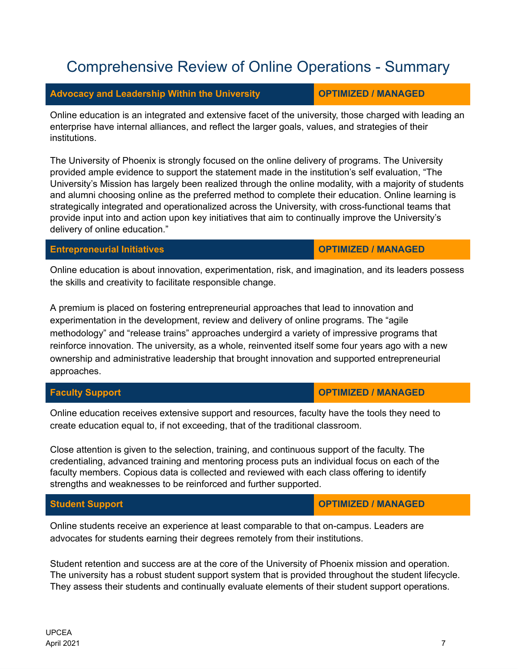# Comprehensive Review of Online Operations - Summary

## **Advocacy** and Leadership Within the University **COPTIMIZED** / **MANAGED**

Online education is an integrated and extensive facet of the university, those charged with leading an enterprise have internal alliances, and reflect the larger goals, values, and strategies of their institutions.

The University of Phoenix is strongly focused on the online delivery of programs. The University provided ample evidence to support the statement made in the institution's self evaluation, "The University's Mission has largely been realized through the online modality, with a majority of students and alumni choosing online as the preferred method to complete their education. Online learning is strategically integrated and operationalized across the University, with cross-functional teams that provide input into and action upon key initiatives that aim to continually improve the University's delivery of online education."

### **Entrepreneurial Initiatives OPTIMIZED / MANAGED**

Online education is about innovation, experimentation, risk, and imagination, and its leaders possess the skills and creativity to facilitate responsible change.

A premium is placed on fostering entrepreneurial approaches that lead to innovation and experimentation in the development, review and delivery of online programs. The "agile methodology" and "release trains" approaches undergird a variety of impressive programs that reinforce innovation. The university, as a whole, reinvented itself some four years ago with a new ownership and administrative leadership that brought innovation and supported entrepreneurial approaches.

Online education receives extensive support and resources, faculty have the tools they need to create education equal to, if not exceeding, that of the traditional classroom.

Close attention is given to the selection, training, and continuous support of the faculty. The credentialing, advanced training and mentoring process puts an individual focus on each of the faculty members. Copious data is collected and reviewed with each class offering to identify strengths and weaknesses to be reinforced and further supported.

## **Student Support OPTIMIZED / MANAGED**

Online students receive an experience at least comparable to that on-campus. Leaders are advocates for students earning their degrees remotely from their institutions.

Student retention and success are at the core of the University of Phoenix mission and operation. The university has a robust student support system that is provided throughout the student lifecycle. They assess their students and continually evaluate elements of their student support operations.

## **Faculty Support OPTIMIZED / MANAGED**